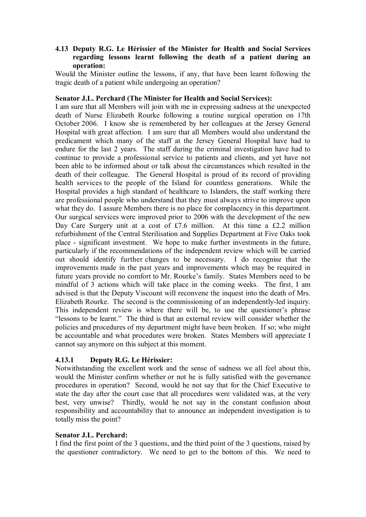### **4.13 Deputy R.G. Le Hérissier of the Minister for Health and Social Services regarding lessons learnt following the death of a patient during an operation:**

Would the Minister outline the lessons, if any, that have been learnt following the tragic death of a patient while undergoing an operation?

#### **Senator J.L. Perchard (The Minister for Health and Social Services):**

I am sure that all Members will join with me in expressing sadness at the unexpected death of Nurse Elizabeth Rourke following a routine surgical operation on 17th October 2006. I know she is remembered by her colleagues at the Jersey General Hospital with great affection. I am sure that all Members would also understand the predicament which many of the staff at the Jersey General Hospital have had to endure for the last 2 years. The staff during the criminal investigation have had to continue to provide a professional service to patients and clients, and yet have not been able to be informed about or talk about the circumstances which resulted in the death of their colleague. The General Hospital is proud of its record of providing health services to the people of the Island for countless generations. While the Hospital provides a high standard of healthcare to Islanders, the staff working there are professional people who understand that they must always strive to improve upon what they do. I assure Members there is no place for complacency in this department. Our surgical services were improved prior to 2006 with the development of the new Day Care Surgery unit at a cost of £7.6 million. At this time a £2.2 million refurbishment of the Central Sterilisation and Supplies Department at Five Oaks took place - significant investment. We hope to make further investments in the future, particularly if the recommendations of the independent review which will be carried out should identify further changes to be necessary. I do recognise that the improvements made in the past years and improvements which may be required in future years provide no comfort to Mr. Rourke's family. States Members need to be mindful of 3 actions which will take place in the coming weeks. The first, I am advised is that the Deputy Viscount will reconvene the inquest into the death of Mrs. Elizabeth Rourke. The second is the commissioning of an independently-led inquiry. This independent review is where there will be, to use the questioner's phrase "lessons to be learnt." The third is that an external review will consider whether the policies and procedures of my department might have been broken. If so; who might be accountable and what procedures were broken. States Members will appreciate I cannot say anymore on this subject at this moment.

### **4.13.1 Deputy R.G. Le Hérissier:**

Notwithstanding the excellent work and the sense of sadness we all feel about this, would the Minister confirm whether or not he is fully satisfied with the governance procedures in operation? Second, would he not say that for the Chief Executive to state the day after the court case that all procedures were validated was, at the very best, very unwise? Thirdly, would he not say in the constant confusion about responsibility and accountability that to announce an independent investigation is to totally miss the point?

### **Senator J.L. Perchard:**

I find the first point of the 3 questions, and the third point of the 3 questions, raised by the questioner contradictory. We need to get to the bottom of this. We need to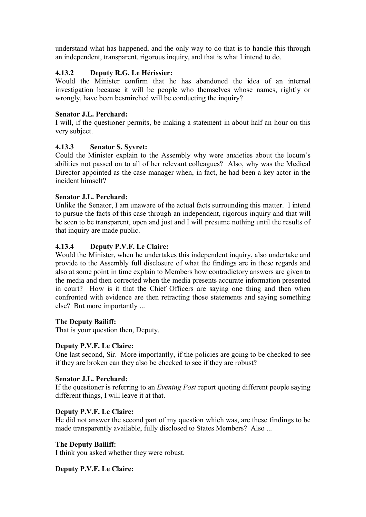understand what has happened, and the only way to do that is to handle this through an independent, transparent, rigorous inquiry, and that is what I intend to do.

# **4.13.2 Deputy R.G. Le Hérissier:**

Would the Minister confirm that he has abandoned the idea of an internal investigation because it will be people who themselves whose names, rightly or wrongly, have been besmirched will be conducting the inquiry?

# **Senator J.L. Perchard:**

I will, if the questioner permits, be making a statement in about half an hour on this very subject.

### **4.13.3 Senator S. Syvret:**

Could the Minister explain to the Assembly why were anxieties about the locum's abilities not passed on to all of her relevant colleagues? Also, why was the Medical Director appointed as the case manager when, in fact, he had been a key actor in the incident himself?

### **Senator J.L. Perchard:**

Unlike the Senator, I am unaware of the actual facts surrounding this matter. I intend to pursue the facts of this case through an independent, rigorous inquiry and that will be seen to be transparent, open and just and I will presume nothing until the results of that inquiry are made public.

# **4.13.4 Deputy P.V.F. Le Claire:**

Would the Minister, when he undertakes this independent inquiry, also undertake and provide to the Assembly full disclosure of what the findings are in these regards and also at some point in time explain to Members how contradictory answers are given to the media and then corrected when the media presents accurate information presented in court? How is it that the Chief Officers are saying one thing and then when confronted with evidence are then retracting those statements and saying something else? But more importantly ...

### **The Deputy Bailiff:**

That is your question then, Deputy.

### **Deputy P.V.F. Le Claire:**

One last second, Sir. More importantly, if the policies are going to be checked to see if they are broken can they also be checked to see if they are robust?

### **Senator J.L. Perchard:**

If the questioner is referring to an *Evening Post* report quoting different people saying different things, I will leave it at that.

### **Deputy P.V.F. Le Claire:**

He did not answer the second part of my question which was, are these findings to be made transparently available, fully disclosed to States Members? Also ...

### **The Deputy Bailiff:**

I think you asked whether they were robust.

### **Deputy P.V.F. Le Claire:**